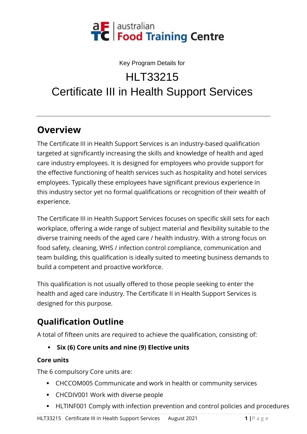

#### Key Program Details for

# HI T33215 Certificate III in Health Support Services

## **Overview**

The Certificate III in Health Support Services is an industry-based qualification targeted at significantly increasing the skills and knowledge of health and aged care industry employees. It is designed for employees who provide support for the effective functioning of health services such as hospitality and hotel services employees. Typically these employees have significant previous experience in this industry sector yet no formal qualifications or recognition of their wealth of experience.

The Certificate III in Health Support Services focuses on specific skill sets for each workplace, offering a wide range of subject material and flexibility suitable to the diverse training needs of the aged care / health industry. With a strong focus on food safety, cleaning, WHS / infection control compliance, communication and team building, this qualification is ideally suited to meeting business demands to build a competent and proactive workforce.

This qualification is not usually offered to those people seeking to enter the health and aged care industry. The Certificate II in Health Support Services is designed for this purpose.

# **Qualification Outline**

A total of fifteen units are required to achieve the qualification, consisting of:

▪ **Six (6) Core units and nine (9) Elective units**

#### **Core units**

The 6 compulsory Core units are:

- CHCCOM005 Communicate and work in health or community services
- CHCDIV001 Work with diverse people
- **EXTENTEE 15 FLINF001 Comply with infection prevention and control policies and procedures**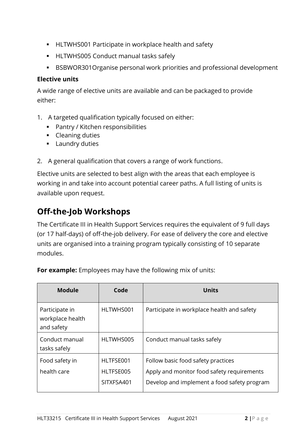- HLTWHS001 Participate in workplace health and safety
- HLTWHS005 Conduct manual tasks safely
- BSBWOR301Organise personal work priorities and professional development

#### **Elective units**

A wide range of elective units are available and can be packaged to provide either:

- 1. A targeted qualification typically focused on either:
	- Pantry / Kitchen responsibilities
	- Cleaning duties
	- Laundry duties
- 2. A general qualification that covers a range of work functions.

Elective units are selected to best align with the areas that each employee is working in and take into account potential career paths. A full listing of units is available upon request.

### **Off-the-Job Workshops**

The Certificate III in Health Support Services requires the equivalent of 9 full days (or 17 half-days) of off-the-job delivery. For ease of delivery the core and elective units are organised into a training program typically consisting of 10 separate modules.

| <b>Module</b>                                    | Code                                 | <b>Units</b>                                                                                                                    |
|--------------------------------------------------|--------------------------------------|---------------------------------------------------------------------------------------------------------------------------------|
| Participate in<br>workplace health<br>and safety | HLTWHS001                            | Participate in workplace health and safety                                                                                      |
| Conduct manual<br>tasks safely                   | HLTWHS005                            | Conduct manual tasks safely                                                                                                     |
| Food safety in<br>health care                    | HLTFSE001<br>HLTFSE005<br>SITXFSA401 | Follow basic food safety practices<br>Apply and monitor food safety requirements<br>Develop and implement a food safety program |

**For example:** Employees may have the following mix of units: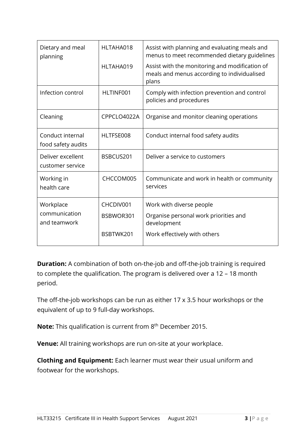| Dietary and meal<br>planning           | HLTAHA018   | Assist with planning and evaluating meals and<br>menus to meet recommended dietary guidelines          |
|----------------------------------------|-------------|--------------------------------------------------------------------------------------------------------|
|                                        | HLTAHA019   | Assist with the monitoring and modification of<br>meals and menus according to individualised<br>plans |
| Infection control                      | HLTINF001   | Comply with infection prevention and control<br>policies and procedures                                |
| Cleaning                               | CPPCLO4022A | Organise and monitor cleaning operations                                                               |
| Conduct internal<br>food safety audits | HLTFSE008   | Conduct internal food safety audits                                                                    |
| Deliver excellent<br>customer service  | BSBCUS201   | Deliver a service to customers                                                                         |
| Working in<br>health care              | CHCCOM005   | Communicate and work in health or community<br>services                                                |
| Workplace                              | CHCDIV001   | Work with diverse people                                                                               |
| communication<br>and teamwork          | BSBWOR301   | Organise personal work priorities and<br>development                                                   |
|                                        | BSBTWK201   | Work effectively with others                                                                           |

**Duration:** A combination of both on-the-job and off-the-job training is required to complete the qualification. The program is delivered over a 12 – 18 month period.

The off-the-job workshops can be run as either 17 x 3.5 hour workshops or the equivalent of up to 9 full-day workshops.

**Note:** This qualification is current from 8<sup>th</sup> December 2015.

**Venue:** All training workshops are run on-site at your workplace.

**Clothing and Equipment:** Each learner must wear their usual uniform and footwear for the workshops.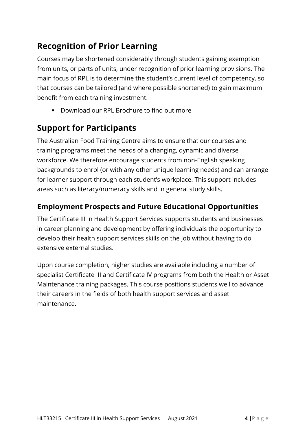## **Recognition of Prior Learning**

Courses may be shortened considerably through students gaining exemption from units, or parts of units, under recognition of prior learning provisions. The main focus of RPL is to determine the student's current level of competency, so that courses can be tailored (and where possible shortened) to gain maximum benefit from each training investment.

■ Download our RPL Brochure to find out more

### **Support for Participants**

The Australian Food Training Centre aims to ensure that our courses and training programs meet the needs of a changing, dynamic and diverse workforce. We therefore encourage students from non-English speaking backgrounds to enrol (or with any other unique learning needs) and can arrange for learner support through each student's workplace. This support includes areas such as literacy/numeracy skills and in general study skills.

#### **Employment Prospects and Future Educational Opportunities**

The Certificate III in Health Support Services supports students and businesses in career planning and development by offering individuals the opportunity to develop their health support services skills on the job without having to do extensive external studies.

Upon course completion, higher studies are available including a number of specialist Certificate III and Certificate IV programs from both the Health or Asset Maintenance training packages. This course positions students well to advance their careers in the fields of both health support services and asset maintenance.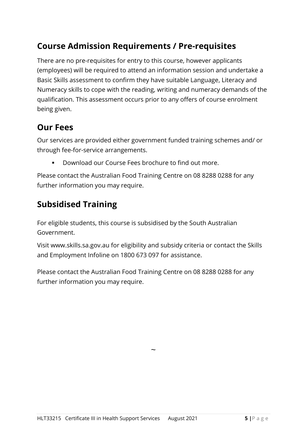### **Course Admission Requirements / Pre-requisites**

There are no pre-requisites for entry to this course, however applicants (employees) will be required to attend an information session and undertake a Basic Skills assessment to confirm they have suitable Language, Literacy and Numeracy skills to cope with the reading, writing and numeracy demands of the qualification. This assessment occurs prior to any offers of course enrolment being given.

#### **Our Fees**

Our services are provided either government funded training schemes and/ or through fee-for-service arrangements.

Download our Course Fees brochure to find out more.

Please contact the Australian Food Training Centre on 08 8288 0288 for any further information you may require.

### **Subsidised Training**

For eligible students, this course is subsidised by the South Australian Government.

Visit www.skills.sa.gov.au for eligibility and subsidy criteria or contact the Skills and Employment Infoline on 1800 673 097 for assistance.

Please contact the Australian Food Training Centre on 08 8288 0288 for any further information you may require.

 $\ddot{\phantom{0}}$